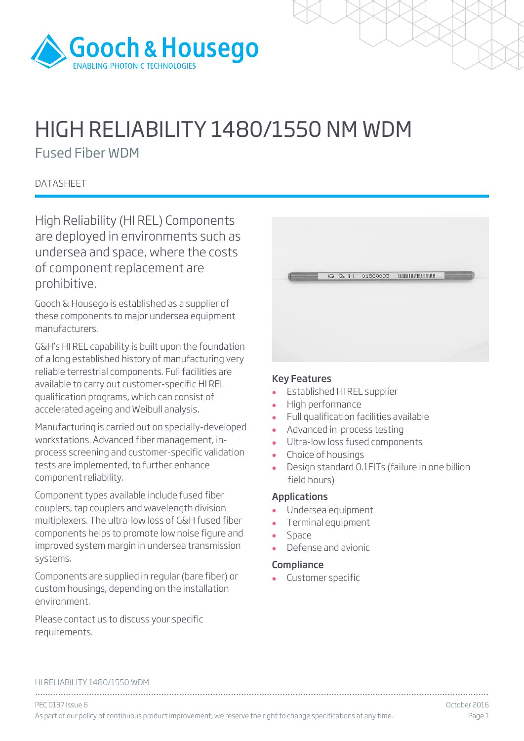

# HIGH RELIABILITY 1480/1550 NM WDM

Fused Fiber WDM

**DATASHEET** 

High Reliability (HI REL) Components are deployed in environments such as undersea and space, where the costs of component replacement are prohibitive.

Gooch & Housego is established as a supplier of these components to major undersea equipment manufacturers.

G&H's HI REL capability is built upon the foundation of a long established history of manufacturing very reliable terrestrial components. Full facilities are available to carry out customer-specific HI REL qualification programs, which can consist of accelerated ageing and Weibull analysis.

Manufacturing is carried out on specially-developed workstations. Advanced fiber management, inprocess screening and customer-specific validation tests are implemented, to further enhance component reliability.

Component types available include fused fiber couplers, tap couplers and wavelength division multiplexers. The ultra-low loss of G&H fused fiber components helps to promote low noise figure and improved system margin in undersea transmission systems.

Components are supplied in regular (bare fiber) or custom housings, depending on the installation environment.

Please contact us to discuss your specific requirements.

|  | G & H 01588093 |  |
|--|----------------|--|
|  |                |  |
|  |                |  |
|  |                |  |

## Key Features

- Established HI REL supplier
- High performance
- Full qualification facilities available
- Advanced in-process testing
- Ultra-low loss fused components
- Choice of housings<br>• Design standard 0.
- Design standard 0.1FITs (failure in one billion field hours)

## Applications

- Undersea equipment
- Terminal equipment
- Space
- Defense and avionic

## **Compliance**

Customer specific

#### HI RELIABILITY 1480/1550 WDM

................................................................................................................................................................................ PEC 0137 Issue 6 October 2016 As part of our policy of continuous product improvement, we reserve the right to change specifications at any time. Page 1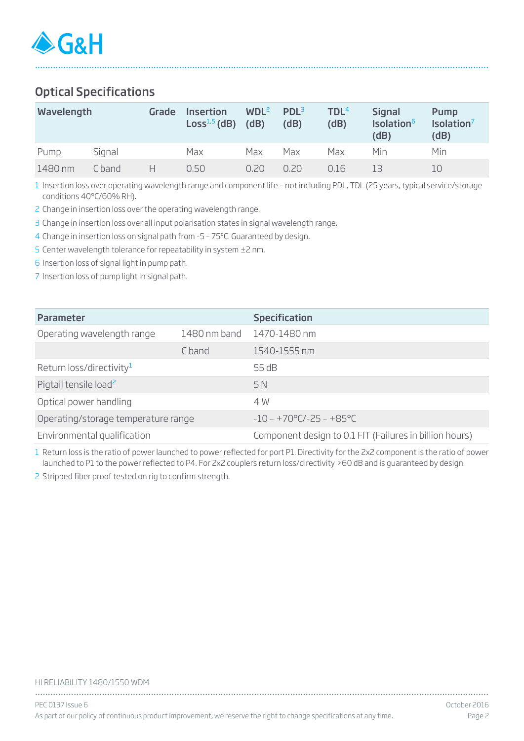# Optical Specifications

| Wavelength |        | Grade | <b>Insertion</b><br>$Loss1,5$ (dB) | WDL <sup>2</sup><br>(dB) | PDL <sup>3</sup><br>(dB) | TDL <sup>4</sup><br>(dB) | <b>Signal</b><br>Isolation <sup>6</sup><br>(dB) | Pump<br>Isolation <sup>7</sup><br>(dB) |
|------------|--------|-------|------------------------------------|--------------------------|--------------------------|--------------------------|-------------------------------------------------|----------------------------------------|
| Pump       | Signal |       | Max                                | Max                      | Max                      | Max                      | Min                                             | Min                                    |
| 1480 nm    | C band | н     | 0.50                               | 0.20                     | 0.20                     | 0.16                     | 13                                              |                                        |

................................................................................................................................................................................

1 Insertion loss over operating wavelength range and component life – not including PDL, TDL (25 years, typical service/storage conditions 40°C/60% RH).

2 Change in insertion loss over the operating wavelength range.

3 Change in insertion loss over all input polarisation states in signal wavelength range.

4 Change in insertion loss on signal path from -5 – 75ºC. Guaranteed by design.

5 Center wavelength tolerance for repeatability in system ±2 nm.

6 Insertion loss of signal light in pump path.

7 Insertion loss of pump light in signal path.

| <b>Parameter</b>                           |        | <b>Specification</b>                                    |  |  |  |  |
|--------------------------------------------|--------|---------------------------------------------------------|--|--|--|--|
| Operating wavelength range<br>1480 nm band |        | 1470-1480 nm                                            |  |  |  |  |
|                                            | C band | 1540-1555 nm                                            |  |  |  |  |
| Return loss/directivity <sup>1</sup>       |        | 55 dB                                                   |  |  |  |  |
| Pigtail tensile load <sup>2</sup>          |        | 5 N                                                     |  |  |  |  |
| Optical power handling                     |        | 4 W                                                     |  |  |  |  |
| Operating/storage temperature range        |        | $-10 - +70^{\circ}$ C/-25 - +85°C                       |  |  |  |  |
| Environmental qualification                |        | Component design to 0.1 FIT (Failures in billion hours) |  |  |  |  |

1 Return loss is the ratio of power launched to power reflected for port P1. Directivity for the 2x2 component is the ratio of power launched to P1 to the power reflected to P4. For 2x2 couplers return loss/directivity >60 dB and is guaranteed by design.

2 Stripped fiber proof tested on rig to confirm strength.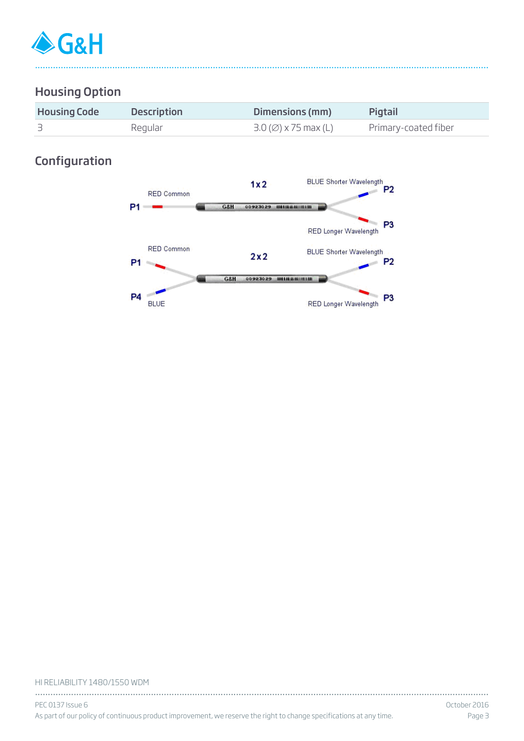

# Housing Option

| <b>Housing Code</b> | <b>Description</b> | Dimensions (mm)                          | <b>Pigtail</b>       |
|---------------------|--------------------|------------------------------------------|----------------------|
|                     | Regular            | $3.0\left(\emptyset\right)$ x 75 max (L) | Primary-coated fiber |

................................................................................................................................................................................

# Configuration



#### HI RELIABILITY 1480/1550 WDM

| PEC 0137 Issue 6                                                                                                    | - October 2016 |
|---------------------------------------------------------------------------------------------------------------------|----------------|
| As part of our policy of continuous product improvement, we reserve the right to change specifications at any time. | Page B         |